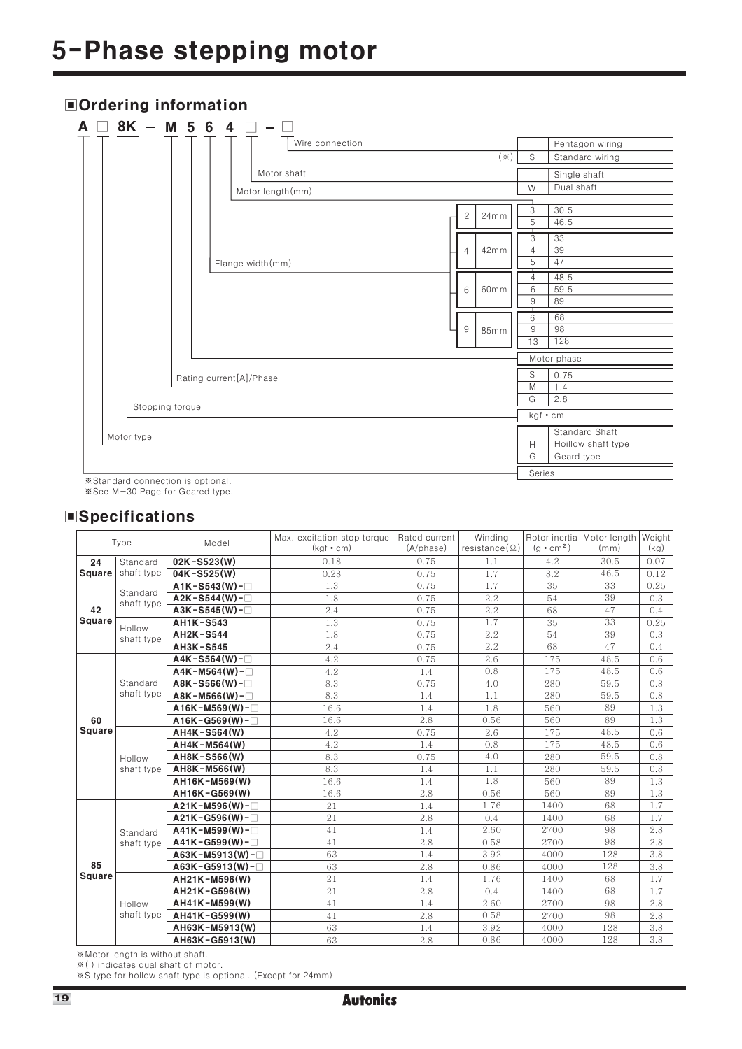## 5-Phase stepping motor

| $8K - M 5 6 4$                                                                                                                                                                                                                                                                                                                                                                                                                                              | $\overline{\phantom{a}}$         |                               |                                                    |
|-------------------------------------------------------------------------------------------------------------------------------------------------------------------------------------------------------------------------------------------------------------------------------------------------------------------------------------------------------------------------------------------------------------------------------------------------------------|----------------------------------|-------------------------------|----------------------------------------------------|
|                                                                                                                                                                                                                                                                                                                                                                                                                                                             | Wire connection                  | S<br>$(\divideontimes)$       | Pentagon wiring<br>Standard wiring                 |
|                                                                                                                                                                                                                                                                                                                                                                                                                                                             | Motor shaft<br>Motor length (mm) | W                             | Single shaft<br>Dual shaft                         |
|                                                                                                                                                                                                                                                                                                                                                                                                                                                             | $\mathbf{2}^{\circ}$<br>24mm     | 3<br>5                        | 30.5<br>46.5                                       |
|                                                                                                                                                                                                                                                                                                                                                                                                                                                             | 42mm<br>4<br>Flange width(mm)    | ┯<br>3<br>$\overline{4}$<br>5 | 33<br>39<br>47                                     |
|                                                                                                                                                                                                                                                                                                                                                                                                                                                             | 60mm<br>6                        | ┯<br>4<br>6<br>9              | 48.5<br>59.5<br>89                                 |
|                                                                                                                                                                                                                                                                                                                                                                                                                                                             | 9<br>85mm                        | 6<br>9<br>13                  | 68<br>98<br>128                                    |
|                                                                                                                                                                                                                                                                                                                                                                                                                                                             |                                  |                               | Motor phase                                        |
|                                                                                                                                                                                                                                                                                                                                                                                                                                                             | Rating current[A]/Phase          | S<br>$\overline{M}$<br>G      | 0.75<br>1.4<br>2.8                                 |
| Stopping torque                                                                                                                                                                                                                                                                                                                                                                                                                                             |                                  |                               | kgf • cm                                           |
| Motor type                                                                                                                                                                                                                                                                                                                                                                                                                                                  |                                  | H<br>G                        | Standard Shaft<br>Hoillow shaft type<br>Geard type |
| $\mathcal{L}(\mathcal{L}(\mathcal{L}(\mathcal{L}(\mathcal{L}(\mathcal{L}(\mathcal{L}(\mathcal{L}(\mathcal{L}(\mathcal{L}(\mathcal{L}(\mathcal{L}(\mathcal{L}(\mathcal{L}(\mathcal{L}(\mathcal{L}(\mathcal{L}(\mathcal{L}(\mathcal{L}(\mathcal{L}(\mathcal{L}(\mathcal{L}(\mathcal{L}(\mathcal{L}(\mathcal{L}(\mathcal{L}(\mathcal{L}(\mathcal{L}(\mathcal{L}(\mathcal{L}(\mathcal{L}(\mathcal{L}(\mathcal{L}(\mathcal{L}(\mathcal{L}(\mathcal{L}(\mathcal{$ |                                  |                               | Series                                             |

### Ordering information

\*Standard connection is optional.

※See M-30 Page for Geared type.

### **Specifications**

| Type          |                      | Model                       | Max. excitation stop torque | Rated current       | Winding              |                  | Rotor inertia Motor length | Weight |
|---------------|----------------------|-----------------------------|-----------------------------|---------------------|----------------------|------------------|----------------------------|--------|
|               |                      |                             | $(kaf \cdot cm)$            | $(A/b \text{hase})$ | $resistance(\Omega)$ | $(a \cdot cm^2)$ | (mm)                       | (kg)   |
| 24            | Standard             | 02K-S523(W)                 | 0.18                        | 0.75                | 1.1                  | 4.2              | 30.5                       | 0.07   |
| <b>Square</b> | shaft type           | $04K - S525(W)$             | 0.28                        | 0.75                | 1.7                  | 8.2              | 46.5                       | 0.12   |
|               | Standard             | $A1K- S543(W)$ - $\Box$     | 1.3                         | 0.75                | 1.7                  | 35               | 33                         | 0.25   |
|               | shaft type           | $A2K- S544(W)-$             | 1.8                         | 0.75                | 2.2                  | 54               | 39                         | 0.3    |
| 42            |                      | $A3K- S545(W)-$             | 2.4                         | 0.75                | 2.2                  | 68               | 47                         | 0.4    |
| Square        | Hollow               | <b>AH1K-S543</b>            | 1.3                         | 0.75                | 1.7                  | 35               | 33                         | 0.25   |
|               | shaft type           | <b>AH2K-S544</b>            | 1.8                         | 0.75                | 2.2                  | 54               | 39                         | 0.3    |
|               |                      | <b>AH3K-S545</b>            | 2.4                         | 0.75                | 2.2                  | 68               | 47                         | 0.4    |
|               |                      | $A4K- S564(W)-$             | 4.2                         | 0.75                | 2.6                  | 175              | 48.5                       | 0.6    |
|               |                      | $A4K-M564(W)-$              | 4.2                         | 1.4                 | 0.8                  | 175              | 48.5                       | 0.6    |
|               | Standard             | $ABK- S566(W)-$             | 8.3                         | 0.75                | 4.0                  | 280              | 59.5                       | 0.8    |
|               | shaft type           | $ABK-M566(W)-$              | 8.3                         | 1.4                 | 1.1                  | 280              | 59.5                       | 0.8    |
|               |                      | $A16K-M569(W)$ -            | 16.6                        | 1.4                 | 1.8                  | 560              | 89                         | 1.3    |
| 60            |                      | $A16K - G569(W) - \Box$     | 16.6                        | 2.8                 | 0.56                 | 560              | 89                         | 1.3    |
| <b>Square</b> |                      | AH4K-S564(W)                | 4.2                         | 0.75                | 2.6                  | 175              | 48.5                       | 0.6    |
|               |                      | AH4K-M564(W)                | 4.2                         | 1.4                 | 0.8                  | 175              | 48.5                       | 0.6    |
|               | Hollow<br>shaft type | AH8K-S566(W)                | 8.3                         | 0.75                | 4.0                  | 280              | 59.5                       | 0.8    |
|               |                      | AH8K-M566(W)                | 8.3                         | 1.4                 | 1.1                  | 280              | 59.5                       | 0.8    |
|               |                      | AH16K-M569(W)               | 16.6                        | 1.4                 | 1.8                  | 560              | 89                         | 1.3    |
|               |                      | AH16K-G569(W)               | 16.6                        | 2.8                 | 0.56                 | 560              | 89                         | 1.3    |
|               |                      | $A21K-M596(W)$ - $\square$  | 21                          | 1.4                 | 1.76                 | 1400             | 68                         | 1.7    |
|               |                      | $A21K - G596(W) - \Box$     | 21                          | 2.8                 | 0.4                  | 1400             | 68                         | 1.7    |
|               | Standard             | $A41K-M599(W)$ -            | 41                          | 1.4                 | 2.60                 | 2700             | 98                         | 2.8    |
|               | shaft type           | $A41K - G599(W) -$          | 41                          | 2.8                 | 0.58                 | 2700             | 98                         | 2.8    |
|               |                      | $A63K-M5913(W)$ - $\square$ | 63                          | 1.4                 | 3.92                 | 4000             | 128                        | 3.8    |
| 85            |                      | $A63K - G5913(W) - \Box$    | 63                          | 2.8                 | 0.86                 | 4000             | 128                        | 3.8    |
| <b>Square</b> |                      | AH21K-M596(W)               | 21                          | 1.4                 | 1.76                 | 1400             | 68                         | 1.7    |
|               |                      | AH21K-G596(W)               | 21                          | 2.8                 | 0.4                  | 1400             | 68                         | 1.7    |
|               | Hollow               | AH41K-M599(W)               | 41                          | 1.4                 | 2.60                 | 2700             | 98                         | 2.8    |
|               | shaft type           | AH41K-G599(W)               | 41                          | 2.8                 | 0.58                 | 2700             | 98                         | 2.8    |
|               |                      | AH63K-M5913(W)              | 63                          | 1.4                 | 3.92                 | 4000             | 128                        | 3.8    |
|               |                      | AH63K-G5913(W)              | 63                          | 2.8                 | 0.86                 | 4000             | 128                        | 3.8    |

\*Motor length is without shaft.

\* () indicates dual shaft of motor.

\*S type for hollow shaft type is optional. (Except for 24mm)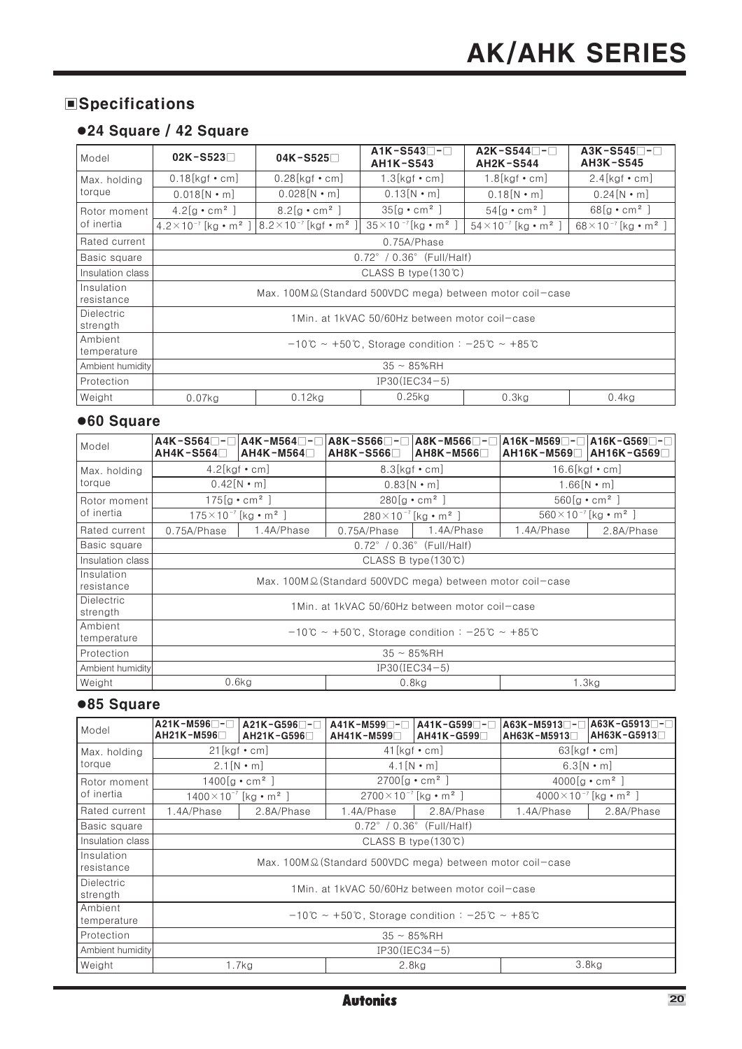### **Specifications**

### ●24 Square / 42 Square

| Model                         | $02K - S523$                                | $04K - S525$                                               | $AIK-S543$<br><b>AH1K-S543</b>                                                             | A2K-S544⊟-⊟<br><b>AH2K-S544</b>            | $A3K- S545$ -<br><b>AH3K-S545</b>          |  |  |  |  |  |  |  |  |
|-------------------------------|---------------------------------------------|------------------------------------------------------------|--------------------------------------------------------------------------------------------|--------------------------------------------|--------------------------------------------|--|--|--|--|--|--|--|--|
| Max. holding                  | $0.18$ [kgf • cm]                           | $0.28$ [kgf • cm]                                          | $1.3[kgf \cdot cm]$                                                                        | $1.8[kgf \cdot cm]$                        | $2.4$ [kgf • cm]                           |  |  |  |  |  |  |  |  |
| torque                        | $0.018[N \cdot m]$                          | $0.028$ [N • m]                                            | $0.13[N \cdot m]$                                                                          | $0.18$ [N • m]                             | $0.24[N \cdot m]$                          |  |  |  |  |  |  |  |  |
| Rotor moment                  | $4.2[g \cdot cm^2]$                         | $8.2[g \cdot cm^2]$                                        | $35[g \cdot cm^2]$                                                                         | $54[g \cdot cm^2]$                         | $68[g \cdot cm^2]$                         |  |  |  |  |  |  |  |  |
| of inertia                    | $4.2 \times 10^{-7}$ [kg • m <sup>2</sup> ] | $8.2 \times 10^{-7}$ [kgf • m <sup>2</sup> ]               | $35 \times 10^{-7}$ [kg • m <sup>2</sup> ]                                                 | $54 \times 10^{-7}$ [kg • m <sup>2</sup> ] | $68 \times 10^{-7}$ [kg • m <sup>2</sup> ] |  |  |  |  |  |  |  |  |
| Rated current                 |                                             |                                                            | 0.75A/Phase                                                                                |                                            |                                            |  |  |  |  |  |  |  |  |
| Basic square                  |                                             | $0.72^{\circ}$ / $0.36^{\circ}$ (Full/Half)                |                                                                                            |                                            |                                            |  |  |  |  |  |  |  |  |
| Insulation class              |                                             |                                                            | CLASS B type $(130\degree$ C)                                                              |                                            |                                            |  |  |  |  |  |  |  |  |
| Insulation<br>resistance      |                                             | Max. 100M Ω (Standard 500VDC mega) between motor coil-case |                                                                                            |                                            |                                            |  |  |  |  |  |  |  |  |
| <b>Dielectric</b><br>strength |                                             |                                                            | 1Min. at 1kVAC 50/60Hz between motor coil-case                                             |                                            |                                            |  |  |  |  |  |  |  |  |
| Ambient<br>temperature        |                                             |                                                            | $-10^{\circ}$ C ~ +50 $^{\circ}$ C, Storage condition: -25 $^{\circ}$ C ~ +85 $^{\circ}$ C |                                            |                                            |  |  |  |  |  |  |  |  |
| Ambient humidity              |                                             |                                                            | $35 \sim 85\%$ RH                                                                          |                                            |                                            |  |  |  |  |  |  |  |  |
| Protection                    |                                             |                                                            | IP30(IEC34-5)                                                                              |                                            |                                            |  |  |  |  |  |  |  |  |
| Weight                        | $0.07$ kg                                   | $0.12$ kg                                                  | $0.25$ kg                                                                                  | $0.3$ kg                                   | 0.4kg                                      |  |  |  |  |  |  |  |  |

### ●60 Square

| Model                         | A4K-S564□-□A4K-M564□-□<br>AH4K-S564□ | $AH4K-M564$                                 | A8K-S566⊟-⊟<br>AH8K-S566□                   | A8K-M566⊟-⊟<br>$AH8K-M566$                                                                 | AH16K-M569□ AH16K-G569□ | $ $ A16K-M569 $\square$ - $\square$  A16K-G569 $\square$ - $\square$ |
|-------------------------------|--------------------------------------|---------------------------------------------|---------------------------------------------|--------------------------------------------------------------------------------------------|-------------------------|----------------------------------------------------------------------|
| Max. holding                  | $4.2$ [kgf • cm]                     |                                             | $8.3$ [kgf • cm]                            |                                                                                            |                         | $16.6$ [kgf • cm]                                                    |
| torque                        |                                      | $0.42$ [N • m]                              |                                             | $0.83[N \cdot m]$                                                                          |                         | $1.66$ [N $\cdot$ m]                                                 |
| Rotor moment                  |                                      | $175[g \cdot cm^2]$                         |                                             | $280[g \cdot cm^2]$                                                                        |                         | $560[g \cdot cm^2]$                                                  |
| of inertia                    |                                      | $175 \times 10^{-7}$ [kg • m <sup>2</sup> ] | $280 \times 10^{-7}$ [kg • m <sup>2</sup> ] |                                                                                            |                         | $560 \times 10^{-7}$ [kg • m <sup>2</sup> ]                          |
| Rated current                 | 0.75A/Phase                          | 1.4A/Phase                                  | 0.75A/Phase                                 | 1.4A/Phase                                                                                 | 1.4A/Phase              | 2.8A/Phase                                                           |
| Basic square                  |                                      |                                             |                                             | $0.72^{\circ}$ / $0.36^{\circ}$ (Full/Half)                                                |                         |                                                                      |
| Insulation class              |                                      |                                             |                                             | CLASS B type $(130\degree$ C)                                                              |                         |                                                                      |
| Insulation<br>resistance      |                                      |                                             |                                             | Max. 100M Ω (Standard 500VDC mega) between motor coil-case                                 |                         |                                                                      |
| <b>Dielectric</b><br>strength |                                      |                                             |                                             | 1 Min. at 1 kVAC 50/60Hz between motor coil-case                                           |                         |                                                                      |
| Ambient <br>temperature       |                                      |                                             |                                             | $-10^{\circ}$ C ~ +50 $^{\circ}$ C, Storage condition: -25 $^{\circ}$ C ~ +85 $^{\circ}$ C |                         |                                                                      |
| Protection                    |                                      |                                             |                                             | $35 \sim 85\%$ RH                                                                          |                         |                                                                      |
| Ambient humidity              |                                      |                                             |                                             | $IP30(IEC34-5)$                                                                            |                         |                                                                      |
| Weight                        |                                      | 0.6kg                                       |                                             | $0.8$ kg                                                                                   |                         | 1.3kg                                                                |

### ●85 Square

| Model                         | $A21K-M596$ -<br>AH21K-M596□                 | $A21K-G596$ -<br>AH21K-G596□ | A41K-M599□-□<br>$AH41K-M599$                                                  | A41K-G599□-□<br>$AH41K-G599$ | A63K-M5913⊟-⊟<br>$AH63K-M5913$ | A63K-G5913⊟-⊟ <br>AH63K-G5913□               |
|-------------------------------|----------------------------------------------|------------------------------|-------------------------------------------------------------------------------|------------------------------|--------------------------------|----------------------------------------------|
| Max. holding                  | $21$ [kgf • cm]                              |                              | $41$ [kgf • cm]                                                               |                              |                                | $63$ [kgf • cm]                              |
| torque                        | $2.1$ [N • m]                                |                              | $4.1[N \cdot m]$                                                              |                              |                                | $6.3[N \cdot m]$                             |
| Rotor moment                  | $1400[g \cdot cm^2]$                         |                              | $2700[g \cdot cm^2]$                                                          |                              |                                | $4000[g \cdot cm^2]$                         |
| of inertia                    | $1400 \times 10^{-7}$ [kg • m <sup>2</sup> ] |                              | $2700 \times 10^{-7}$ [kg • m <sup>2</sup> ]                                  |                              |                                | $4000 \times 10^{-7}$ [kg • m <sup>2</sup> ] |
| Rated current                 | 1.4A/Phase                                   | 2.8A/Phase                   | 1.4A/Phase                                                                    | 2.8A/Phase                   | 1.4A/Phase                     | 2.8A/Phase                                   |
| Basic square                  |                                              |                              | $0.72^{\circ}$ / $0.36^{\circ}$ (Full/Half)                                   |                              |                                |                                              |
| Insulation class              |                                              |                              | CLASS B type $(130^{\circ}C)$                                                 |                              |                                |                                              |
| Insulation<br>resistance      |                                              |                              | Max. 100M $\Omega$ (Standard 500VDC mega) between motor coil-case             |                              |                                |                                              |
| <b>Dielectric</b><br>strength |                                              |                              | 1Min. at 1kVAC 50/60Hz between motor coil-case                                |                              |                                |                                              |
| Ambient<br>temperature        |                                              |                              | $-10^{\circ}$ ~ +50 $\circ$ . Storage condition : $-25^{\circ}$ ~ +85 $\circ$ |                              |                                |                                              |
| Protection                    |                                              |                              | $35 \sim 85\%$ RH                                                             |                              |                                |                                              |
| Ambient humidity              |                                              |                              |                                                                               | $IP30(IEC34-5)$              |                                |                                              |
| Weight                        |                                              | 1.7kg                        | $2.8$ kg                                                                      |                              |                                | 3.8 <sub>kg</sub>                            |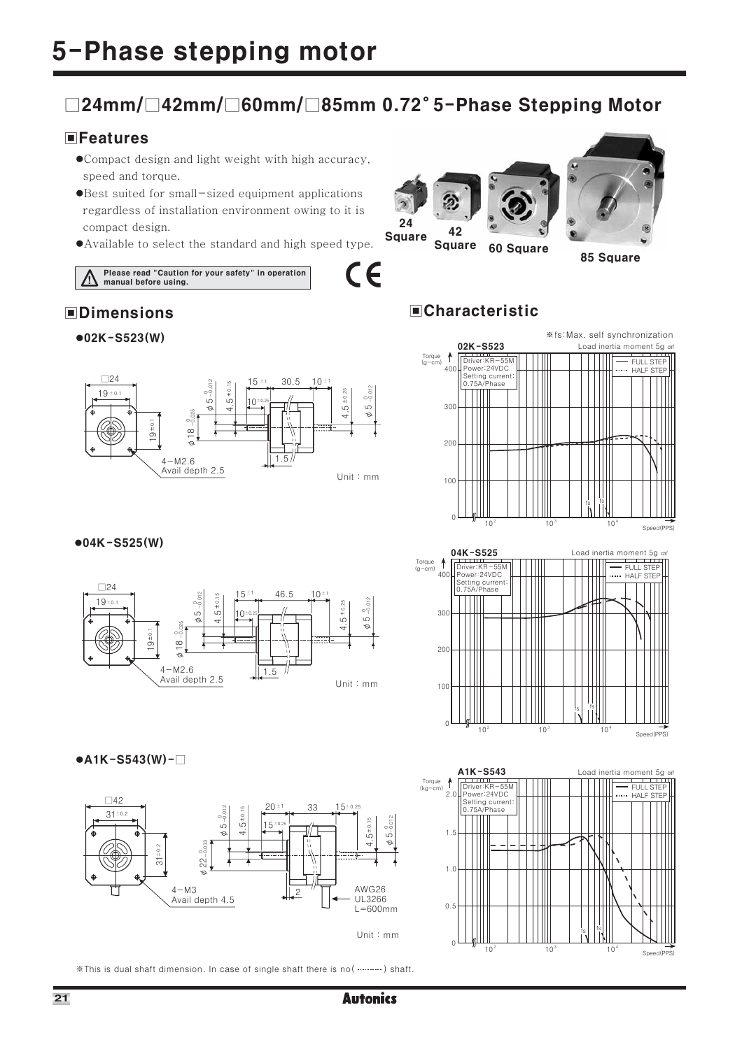### □24mm/□42mm/□60mm/□85mm 0.72°5-Phase Stepping Motor

### **EFeatures**

- ●Compact design and light weight with high accuracy, speed and torque.
- •Best suited for small-sized equipment applications regardless of installation environment owing to it is compact design.
- Available to select the standard and high speed type.

Please read "Caution for your safety" in operation<br>manual before using.

### **OD** Dimensions



## $•02K - S523(W)$





### $•04K - S525(W)$





### $\bullet$ A1K-S543(W)- $\Box$



\*This is dual shaft dimension. In case of single shaft there is no ( ...........) shaft.



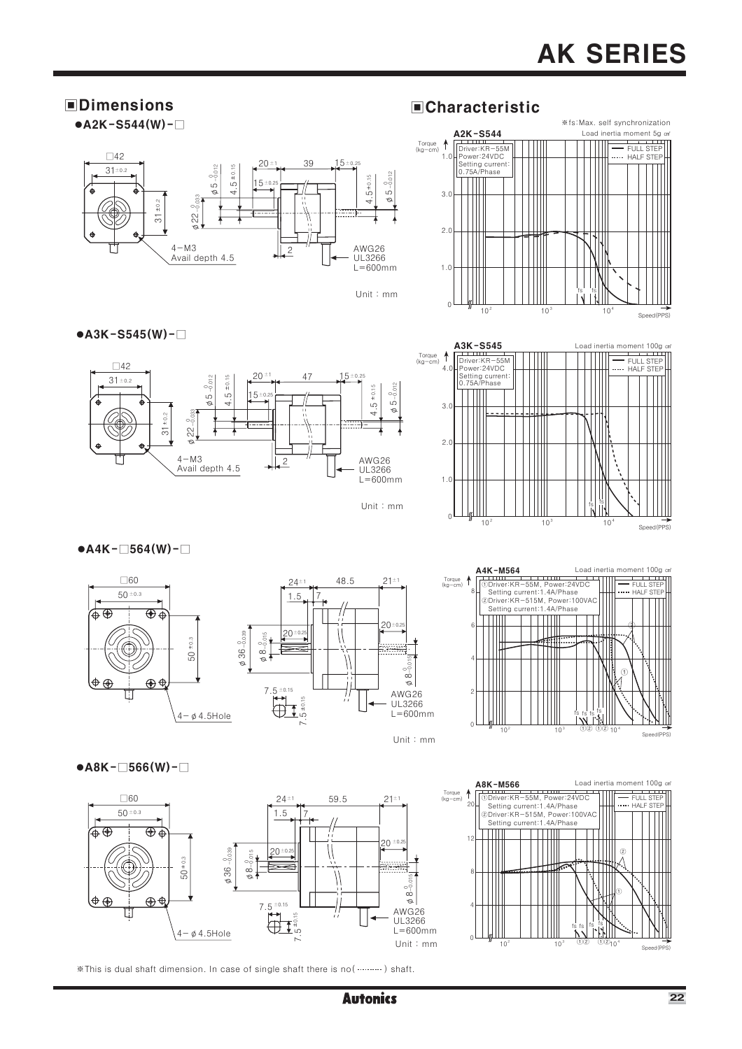### **OD** Dimensions

 $\bullet$ A2K-S544(W)- $\Box$ 

 $\bullet$ A3K-S545(W)- $\Box$ 





#### Unit: mm

### **ECharacteristic**





### $\bullet$ A4K- $\Box$ 564(W)- $\Box$





Unit: mm



Load inertia moment 100g

**TELEVISION** 

 $\bullet$ A8K- $\Box$ 566(W)- $\Box$ 



A8K-M566 Load inertia<br>
Daniver:KR-55M, Power:24VDC Torque  $\uparrow$ Ξ Setting current:1.4A/Phase<br>
@Driver:KR-515M, Power:100VAC<br>
Setting current:1.4A/Phase TT TTTTTT  $\frac{1}{2}$ 

\*This is dual shaft dimension. In case of single shaft there is no (...........) shaft.

Speed(PPS)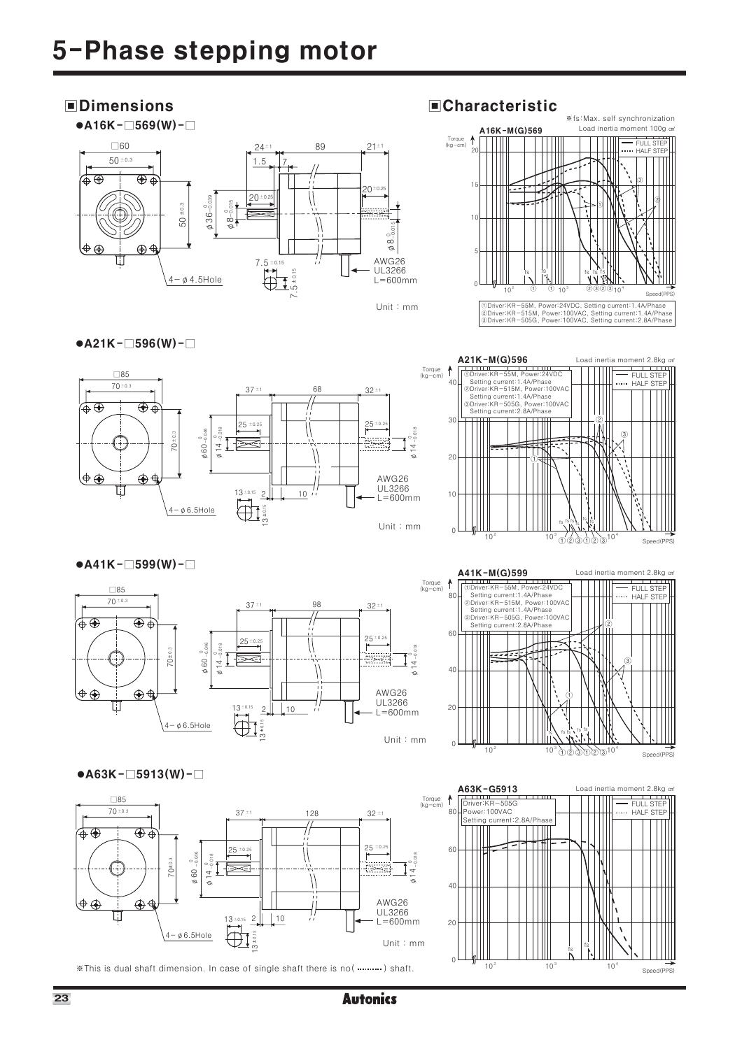### **OD** Dimensions





### **ECharacteristic**



### $\bullet$ A21K- $\Box$ 596(W)- $\Box$





## $\bullet$ A41K- $\Box$ 599(W)- $\Box$



### $\bullet$ A63K- $\Box$ 5913(W)- $\Box$



\*This is dual shaft dimension. In case of single shaft there is no (...........) shaft.



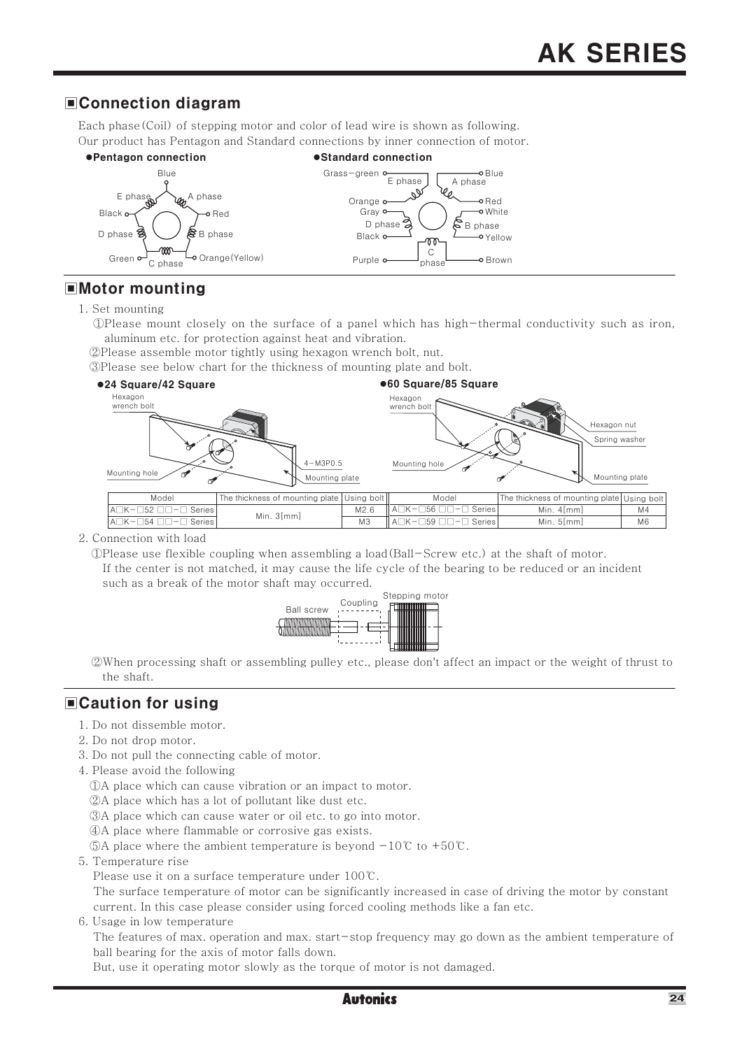### **■Connection diagram**

Each phase (Coil) of stepping motor and color of lead wire is shown as following. Our product has Pentagon and Standard connections by inner connection of motor.



### $\blacksquare$ Motor mounting

- 1. Set mounting
	- aluminum etc. for protection against heat and vibration.
	- 2 Please assemble motor tightly using hexagon wrench bolt, nut.
	- 3) Please see below chart for the thickness of mounting plate and bolt.



2. Connection with load

OPlease use flexible coupling when assembling a load (Ball-Screw etc.) at the shaft of motor. If the center is not matched, it may cause the life cycle of the bearing to be reduced or an incident such as a break of the motor shaft may occurred.



When processing shaft or assembling pulley etc., please don't affect an impact or the weight of thrust to the shaft.

### **■Caution for using**

- 1. Do not dissemble motor.
- 2. Do not drop motor.
- 3. Do not pull the connecting cable of motor.
- 4. Please avoid the following
	- (DA place which can cause vibration or an impact to motor.
	- 2A place which has a lot of pollutant like dust etc.
	- 3A place which can cause water or oil etc. to go into motor.
	- 4) A place where flammable or corrosive gas exists.
	- ©A place where the ambient temperature is beyond  $-10^{\circ}$  to  $+50^{\circ}$ .
- 5. Temperature rise
	- Please use it on a surface temperature under 100℃.

The surface temperature of motor can be significantly increased in case of driving the motor by constant current. In this case please consider using forced cooling methods like a fan etc.

6. Usage in low temperature

The features of max, operation and max, start-stop frequency may go down as the ambient temperature of ball bearing for the axis of motor falls down.

But, use it operating motor slowly as the torque of motor is not damaged.

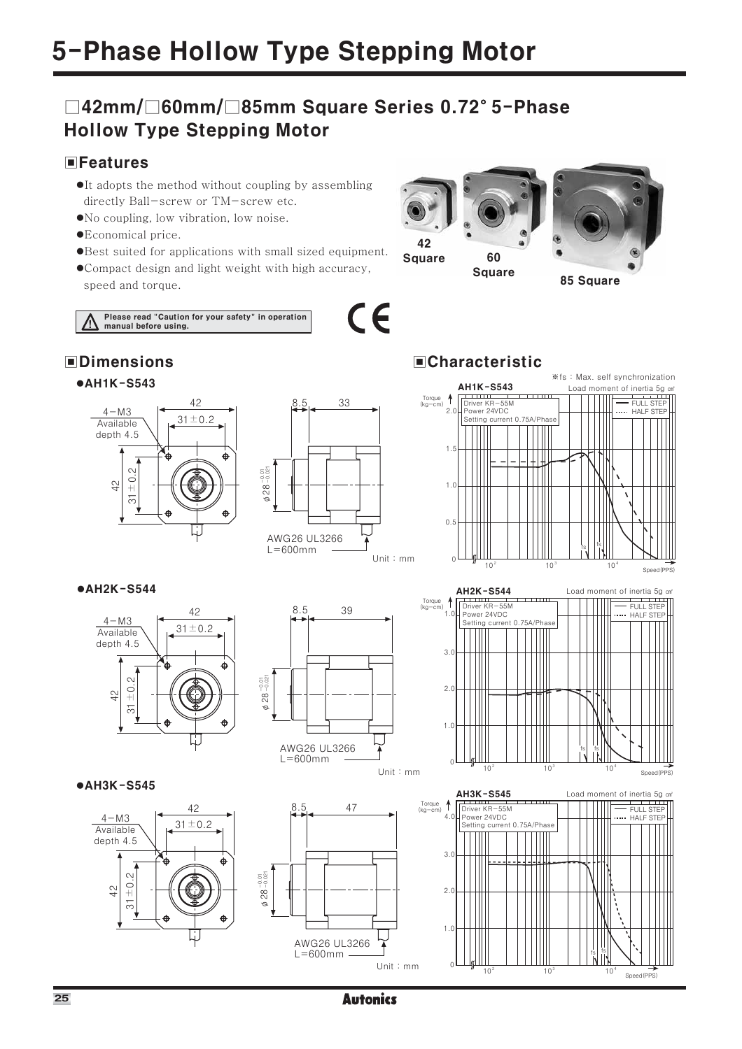### □42mm/□60mm/□85mm Square Series 0.72°5-Phase **Hollow Type Stepping Motor**

### **EFeatures**

- •It adopts the method without coupling by assembling directly Ball-screw or TM-screw etc.
- No coupling, low vibration, low noise.
- ●Economical price.
- •Best suited for applications with small sized equipment.
- ●Compact design and light weight with high accuracy, speed and torque.

Please read "Caution for your safety" in operation<br>manual before using.







### **ECharacteristic**

60

**Square** 

**Square** 

 $C\in$ 



85 Square

### **•AH2K-S544**



### $\bullet$ AH3K-S545











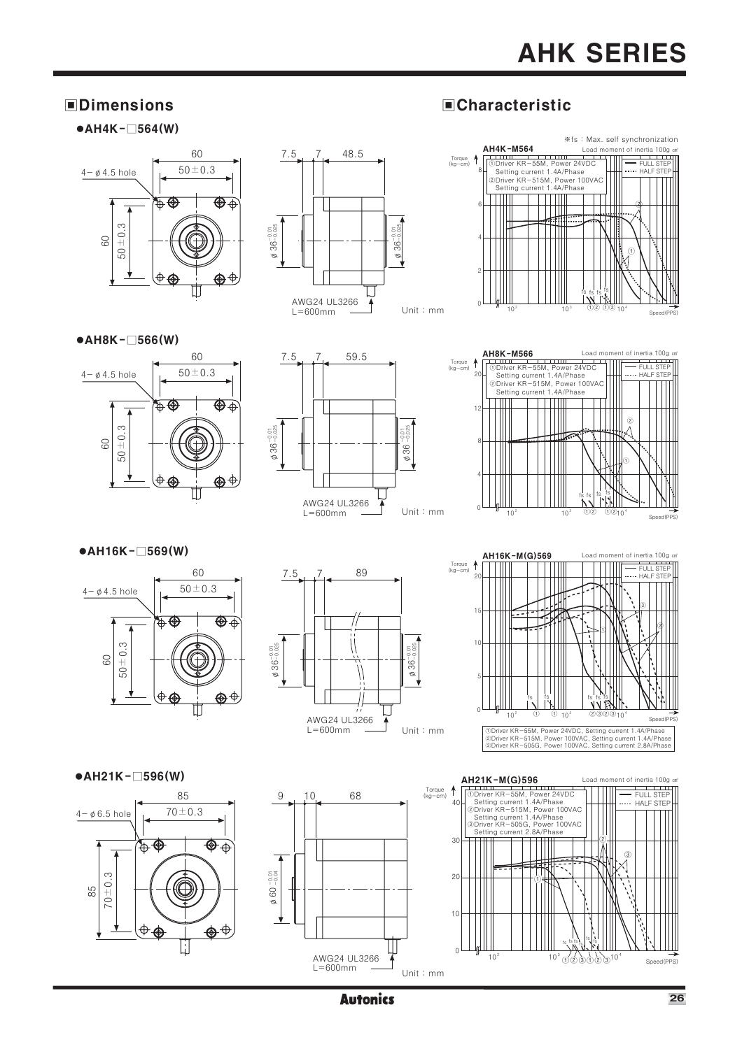# **AHK SERIES**

### **OD** Dimensions

### $\bullet$ AH4K- $\Box$ 564(W)







**ECharacteristic** 







### $\bullet$ AH16K- $\Box$ 569(W)







Load moment of inertia 100g cm

### $\bullet$ AH21K- $\Box$ 596(W)







**Autonics**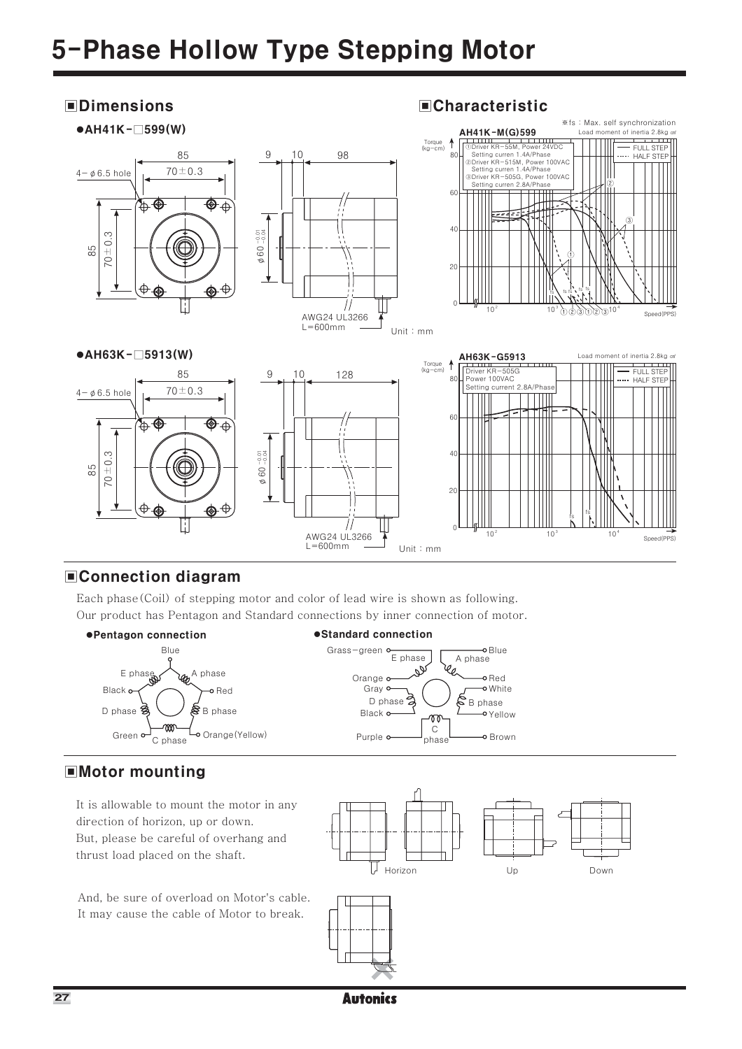### **OD** Dimensions





### **■Connection diagram**

Each phase (Coil) of stepping motor and color of lead wire is shown as following. Our product has Pentagon and Standard connections by inner connection of motor.



### **EMotor mounting**

It is allowable to mount the motor in any direction of horizon, up or down. But, please be careful of overhang and thrust load placed on the shaft.

And, be sure of overload on Motor's cable. It may cause the cable of Motor to break.

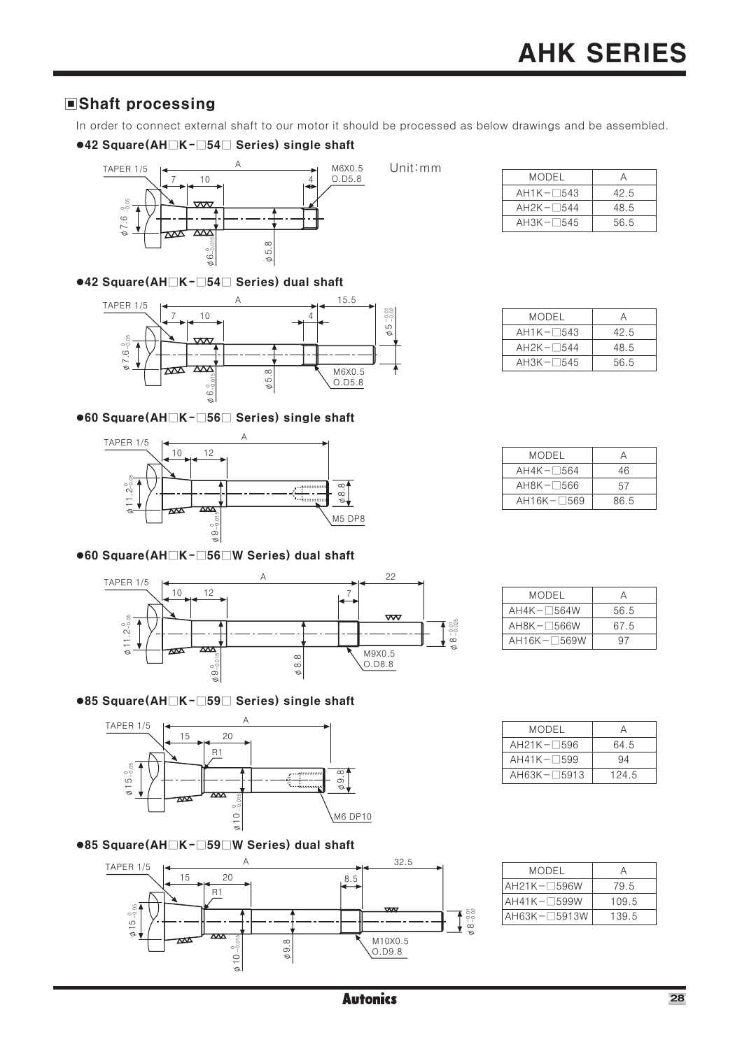### Shaft processing

In order to connect external shaft to our motor it should be processed as below drawings and be assembled.

### ●42 Square(AH<sub>IK</sub>-154<sup>1</sup>Series) single shaft



### ●42 Square(AH $\Box$ K- $\Box$ 54 $\Box$  Series) dual shaft



### ●60 Square(AH $\Box$ K- $\Box$ 56 $\Box$  Series) single shaft



### ●60 Square(AH<sub>IK</sub>-156<sup>IW</sup> Series) dual shaft



#### **MODEL**  $\overline{A}$  $AH4K - 564W$ 56.5  $AH8K - 566W$ 67.5  $AH16K - 569W$  $\overline{97}$

 $\boldsymbol{\mathsf{A}}$ 

64.5

 $\overline{94}$ 

 $\frac{124}{5}$ 

**MODEL** 

 $AH21K-\square596$ 

 $AH41K-\square599$ 

 $AH63K-\square 5913$ 

## ●85 Square(AH $\Box$ K- $\Box$ 59 $\Box$  Series) single shaft



### ●85 Square(AH $\Box$ K- $\Box$ 59 $\Box$ W Series) dual shaft



| MODEL                |       |
|----------------------|-------|
| $AH21K-\square$ 596W | 79.5  |
| $AH41K-\square$ 599W | 109.5 |
| AH63K-□5913W         | 139.5 |

| MODEL              |      |
|--------------------|------|
| $AH1K-\square$ 543 | 42.5 |
| $AH2K - 544$       | 48.5 |
| $AH3K - 545$       | 56.5 |

| MODEL             |      |
|-------------------|------|
| $AH1K-\sqrt{543}$ | 42.5 |
| $AH2K - 544$      | 48.5 |
| $AH3K - 545$      | 56.5 |

| MODEL         |      |
|---------------|------|
| $AH4K - 564$  | 46   |
| $AH8K - 566$  | 57   |
| $AH16K - 569$ | 86.5 |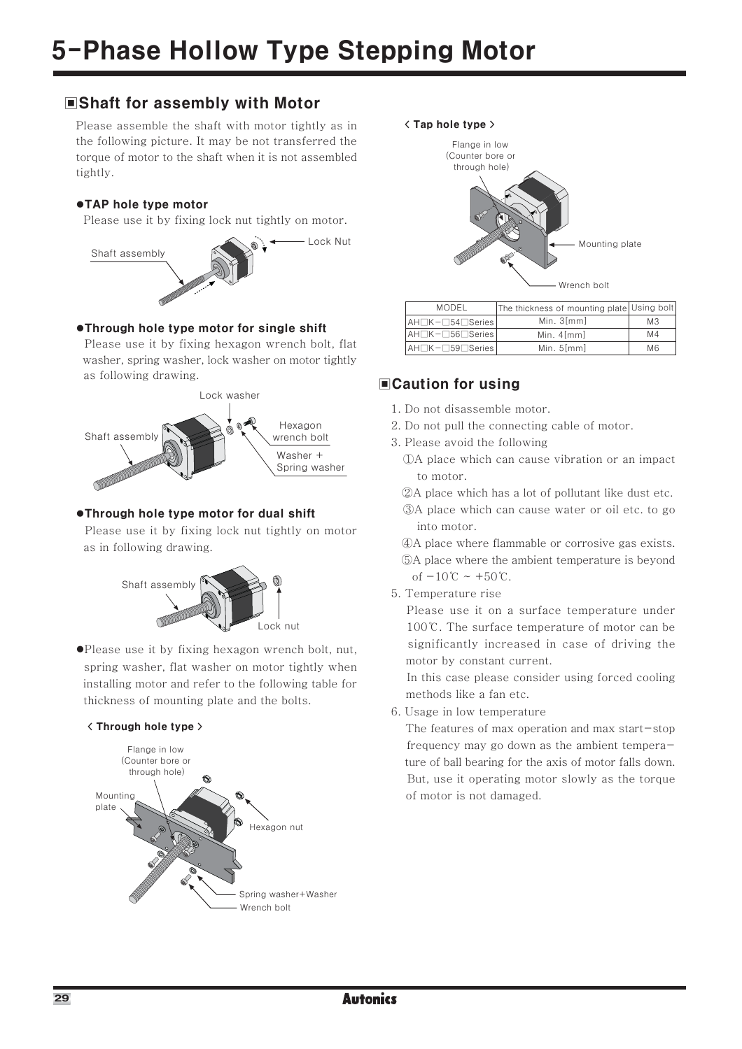### **■Shaft for assembly with Motor**

Please assemble the shaft with motor tightly as in the following picture. It may be not transferred the torque of motor to the shaft when it is not assembled tightly.

### ●TAP hole tvpe motor

Please use it by fixing lock nut tightly on motor.



### ●Through hole type motor for single shift

Please use it by fixing hexagon wrench bolt, flat washer, spring washer, lock washer on motor tightly as following drawing.



### ●Through hole type motor for dual shift

Please use it by fixing lock nut tightly on motor as in following drawing.



•Please use it by fixing hexagon wrench bolt, nut, spring washer, flat washer on motor tightly when installing motor and refer to the following table for thickness of mounting plate and the bolts.

### <Through hole type >





| <b>MODEL</b>                       | The thickness of mounting plate Using bolt |                |
|------------------------------------|--------------------------------------------|----------------|
| $A \cup K - 54$ Series             | Min. 3 [mm]                                | M <sub>3</sub> |
| $A H \Box K - \Box 56 \Box$ Series | Min. $4 \, \text{fmm}$                     | M <sub>4</sub> |
| $A \cup K - 59$ Series             | Min. $5 \, \text{fmm}$                     | M <sub>6</sub> |

### **■Caution for using**

- 1. Do not disassemble motor.
- 2. Do not pull the connecting cable of motor.
- 3. Please avoid the following

(DA place which can cause vibration or an impact to motor.

2A place which has a lot of pollutant like dust etc.

3A place which can cause water or oil etc. to go into motor.

4) A place where flammable or corrosive gas exists. **5A** place where the ambient temperature is beyond of  $-10^{\circ}C \sim +50^{\circ}C$ .

### 5. Temperature rise

Please use it on a surface temperature under 100℃. The surface temperature of motor can be significantly increased in case of driving the motor by constant current.

In this case please consider using forced cooling methods like a fan etc.

6. Usage in low temperature

The features of max operation and max start-stop frequency may go down as the ambient temperature of ball bearing for the axis of motor falls down. But, use it operating motor slowly as the torque of motor is not damaged.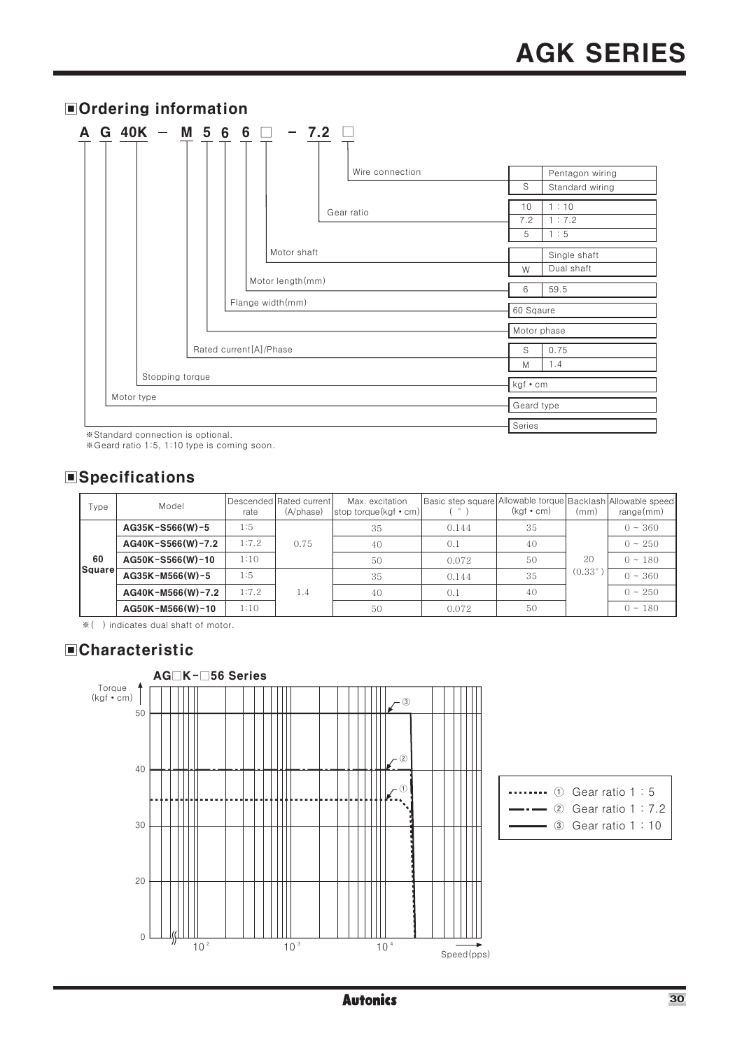|                 | <b>■Ordering information</b>      |  |  |  |  |  |  |                        |             |  |                             |                 |  |            |                 |
|-----------------|-----------------------------------|--|--|--|--|--|--|------------------------|-------------|--|-----------------------------|-----------------|--|------------|-----------------|
|                 |                                   |  |  |  |  |  |  |                        |             |  | A G 40K - M 5 6 6 □ - 7.2 □ |                 |  |            |                 |
|                 |                                   |  |  |  |  |  |  |                        |             |  |                             |                 |  |            |                 |
|                 |                                   |  |  |  |  |  |  |                        |             |  |                             | Wire connection |  |            | Pentagon wiring |
|                 |                                   |  |  |  |  |  |  |                        |             |  |                             |                 |  | S          | Standard wiring |
|                 |                                   |  |  |  |  |  |  |                        |             |  |                             |                 |  | 10         | 1:10            |
|                 |                                   |  |  |  |  |  |  |                        |             |  | Gear ratio                  |                 |  | 7.2        | 1:7.2           |
|                 |                                   |  |  |  |  |  |  |                        |             |  |                             |                 |  | 5          | 1:5             |
|                 |                                   |  |  |  |  |  |  |                        | Motor shaft |  |                             |                 |  |            | Single shaft    |
|                 |                                   |  |  |  |  |  |  |                        |             |  |                             |                 |  | W          | Dual shaft      |
|                 |                                   |  |  |  |  |  |  | Motor length (mm)      |             |  |                             |                 |  | 6          | 59.5            |
|                 |                                   |  |  |  |  |  |  | Flange width(mm)       |             |  |                             |                 |  | 60 Sqaure  |                 |
|                 |                                   |  |  |  |  |  |  |                        |             |  |                             |                 |  |            | Motor phase     |
|                 |                                   |  |  |  |  |  |  | Rated current[A]/Phase |             |  |                             |                 |  | S          | 0.75            |
|                 |                                   |  |  |  |  |  |  |                        |             |  |                             |                 |  | M          | 1.4             |
| Stopping torque |                                   |  |  |  |  |  |  |                        | kgf • cm    |  |                             |                 |  |            |                 |
|                 | Motor type                        |  |  |  |  |  |  |                        |             |  |                             |                 |  | Geard type |                 |
|                 |                                   |  |  |  |  |  |  |                        |             |  |                             |                 |  | Series     |                 |
|                 | X Ctanderd connection is optional |  |  |  |  |  |  |                        |             |  |                             |                 |  |            |                 |

\*Standard connection is optional.<br>\*Standard ratio 1:5, 1:10 type is coming soon.

### **Specifications**

| Type          | Model                                 | rate  | Descended Rated current<br>(A/phase) | Max. excitation<br>stop torque(kgf $\cdot$ cm) | Basic step square | Allowable torque Backlash Allowable speed<br>$(kgf \cdot cm)$ | (mm)            | range(mm)    |
|---------------|---------------------------------------|-------|--------------------------------------|------------------------------------------------|-------------------|---------------------------------------------------------------|-----------------|--------------|
|               | AG35K-S566(W)-5                       | 1:5   |                                      | 35                                             | 0.144             | 35                                                            |                 | $0 \sim 360$ |
|               | AG40K-S566(W)-7.2<br>AG50K-S566(W)-10 | 1:7.2 | 0.75                                 | 40                                             | 0.1               | 40                                                            |                 | $0 \sim 250$ |
| 60            |                                       | 1:10  |                                      | 50                                             | 0.072             | 50                                                            | 20              | $0 \sim 180$ |
| <b>Square</b> | AG35K-M566(W)-5                       | 1:5   |                                      | 35                                             | 0.144             | 35                                                            | $(0.33^{\circ}$ | $0 \sim 360$ |
|               | AG40K-M566(W)-7.2                     | 1:7.2 | 1.4                                  | 40                                             | (0.1)             | 40                                                            |                 | $0 \sim 250$ |
|               | AG50K-M566(W)-10                      | 1:10  |                                      | 50                                             | 0.072             | 50                                                            |                 | $0 \sim 180$ |

\* ( ) indicates dual shaft of motor.

### **ECharacteristic**